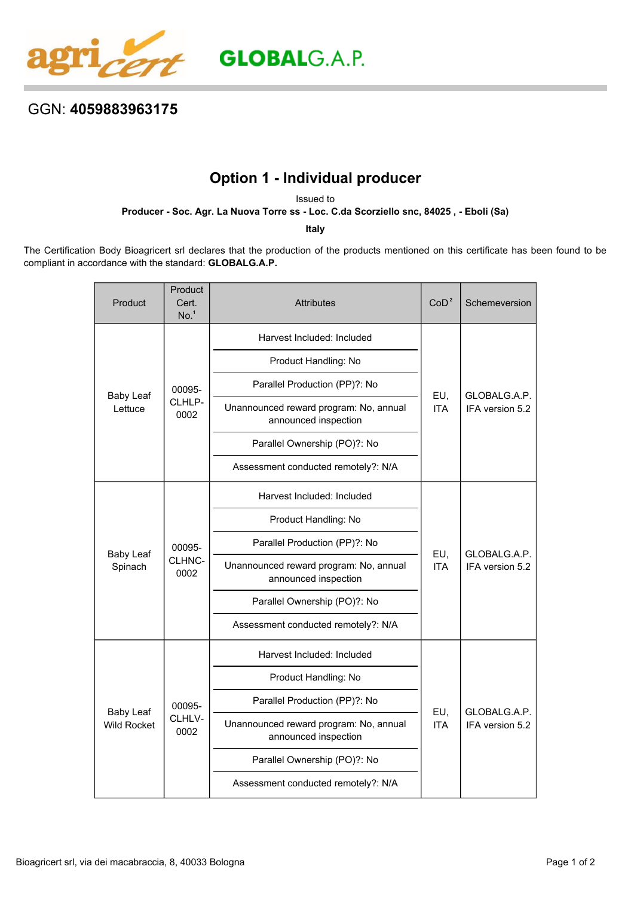

## GGN: **4059883963175**

## **Option 1 - Individual producer**

Issued to

**Producer - Soc. Agr. La Nuova Torre ss - Loc. C.da Scorziello snc, 84025 , - Eboli (Sa)**

**Italy**

The Certification Body Bioagricert srl declares that the production of the products mentioned on this certificate has been found to be compliant in accordance with the standard: **GLOBALG.A.P.**

| Product                                | Product<br>Cert.<br>No. <sup>1</sup> | <b>Attributes</b>                                              | CoD <sup>2</sup>  | Schemeversion                   |
|----------------------------------------|--------------------------------------|----------------------------------------------------------------|-------------------|---------------------------------|
| <b>Baby Leaf</b><br>Lettuce            | 00095-<br>CLHLP-<br>0002             | Harvest Included: Included                                     | EU,<br><b>ITA</b> | GLOBALG.A.P.<br>IFA version 5.2 |
|                                        |                                      | Product Handling: No                                           |                   |                                 |
|                                        |                                      | Parallel Production (PP)?: No                                  |                   |                                 |
|                                        |                                      | Unannounced reward program: No, annual<br>announced inspection |                   |                                 |
|                                        |                                      | Parallel Ownership (PO)?: No                                   |                   |                                 |
|                                        |                                      | Assessment conducted remotely?: N/A                            |                   |                                 |
| <b>Baby Leaf</b><br>Spinach            | 00095-<br>CLHNC-<br>0002             | Harvest Included: Included                                     | EU,<br><b>ITA</b> | GLOBALG.A.P.<br>IFA version 5.2 |
|                                        |                                      | Product Handling: No                                           |                   |                                 |
|                                        |                                      | Parallel Production (PP)?: No                                  |                   |                                 |
|                                        |                                      | Unannounced reward program: No, annual<br>announced inspection |                   |                                 |
|                                        |                                      | Parallel Ownership (PO)?: No                                   |                   |                                 |
|                                        |                                      | Assessment conducted remotely?: N/A                            |                   |                                 |
| <b>Baby Leaf</b><br><b>Wild Rocket</b> | 00095-<br>CLHLV-<br>0002             | Harvest Included: Included                                     | EU,<br><b>ITA</b> | GLOBALG.A.P.<br>IFA version 5.2 |
|                                        |                                      | Product Handling: No                                           |                   |                                 |
|                                        |                                      | Parallel Production (PP)?: No                                  |                   |                                 |
|                                        |                                      | Unannounced reward program: No, annual<br>announced inspection |                   |                                 |
|                                        |                                      | Parallel Ownership (PO)?: No                                   |                   |                                 |
|                                        |                                      | Assessment conducted remotely?: N/A                            |                   |                                 |